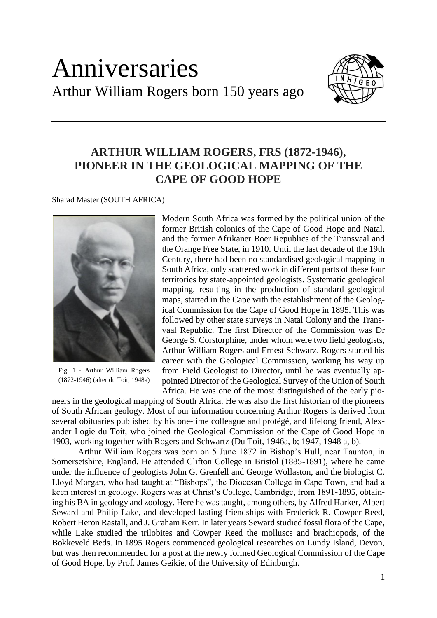## Anniversaries Arthur William Rogers born 150 years ago



## **ARTHUR WILLIAM ROGERS, FRS (1872-1946), PIONEER IN THE GEOLOGICAL MAPPING OF THE CAPE OF GOOD HOPE**

Sharad Master (SOUTH AFRICA)



Fig. 1 - Arthur William Rogers (1872-1946) (after du Toit, 1948a)

Modern South Africa was formed by the political union of the former British colonies of the Cape of Good Hope and Natal, and the former Afrikaner Boer Republics of the Transvaal and the Orange Free State, in 1910. Until the last decade of the 19th Century, there had been no standardised geological mapping in South Africa, only scattered work in different parts of these four territories by state-appointed geologists. Systematic geological mapping, resulting in the production of standard geological maps, started in the Cape with the establishment of the Geological Commission for the Cape of Good Hope in 1895. This was followed by other state surveys in Natal Colony and the Transvaal Republic. The first Director of the Commission was Dr George S. Corstorphine, under whom were two field geologists, Arthur William Rogers and Ernest Schwarz. Rogers started his career with the Geological Commission, working his way up from Field Geologist to Director, until he was eventually appointed Director of the Geological Survey of the Union of South Africa. He was one of the most distinguished of the early pio-

neers in the geological mapping of South Africa. He was also the first historian of the pioneers of South African geology. Most of our information concerning Arthur Rogers is derived from several obituaries published by his one-time colleague and protégé, and lifelong friend, Alexander Logie du Toit, who joined the Geological Commission of the Cape of Good Hope in 1903, working together with Rogers and Schwartz (Du Toit, 1946a, b; 1947, 1948 a, b).

Arthur William Rogers was born on 5 June 1872 in Bishop's Hull, near Taunton, in Somersetshire, England. He attended Clifton College in Bristol (1885-1891), where he came under the influence of geologists John G. Grenfell and George Wollaston, and the biologist C. Lloyd Morgan, who had taught at "Bishops", the Diocesan College in Cape Town, and had a keen interest in geology. Rogers was at Christ's College, Cambridge, from 1891-1895, obtaining his BA in geology and zoology. Here he was taught, among others, by Alfred Harker, Albert Seward and Philip Lake, and developed lasting friendships with Frederick R. Cowper Reed, Robert Heron Rastall, and J. Graham Kerr. In later years Seward studied fossil flora of the Cape, while Lake studied the trilobites and Cowper Reed the molluscs and brachiopods, of the Bokkeveld Beds. In 1895 Rogers commenced geological researches on Lundy Island, Devon, but was then recommended for a post at the newly formed Geological Commission of the Cape of Good Hope, by Prof. James Geikie, of the University of Edinburgh.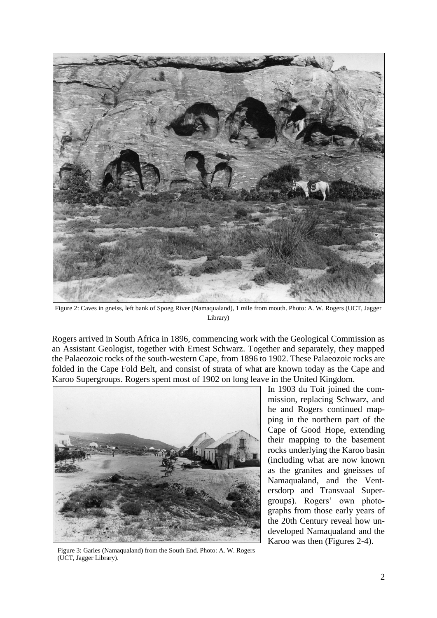

Figure 2: Caves in gneiss, left bank of Spoeg River (Namaqualand), 1 mile from mouth. Photo: A. W. Rogers (UCT, Jagger Library)

Rogers arrived in South Africa in 1896, commencing work with the Geological Commission as an Assistant Geologist, together with Ernest Schwarz. Together and separately, they mapped the Palaeozoic rocks of the south-western Cape, from 1896 to 1902. These Palaeozoic rocks are folded in the Cape Fold Belt, and consist of strata of what are known today as the Cape and Karoo Supergroups. Rogers spent most of 1902 on long leave in the United Kingdom.



In 1903 du Toit joined the commission, replacing Schwarz, and he and Rogers continued mapping in the northern part of the Cape of Good Hope, extending their mapping to the basement rocks underlying the Karoo basin (including what are now known as the granites and gneisses of Namaqualand, and the Ventersdorp and Transvaal Supergroups). Rogers' own photographs from those early years of the 20th Century reveal how undeveloped Namaqualand and the Karoo was then (Figures 2-4).

Figure 3: Garies (Namaqualand) from the South End. Photo: A. W. Rogers (UCT, Jagger Library).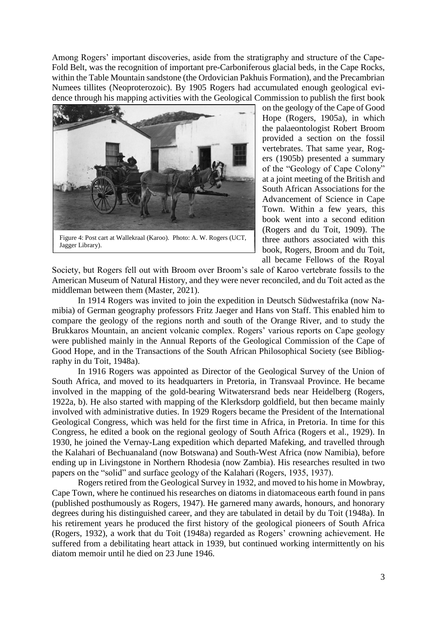Among Rogers' important discoveries, aside from the stratigraphy and structure of the Cape-Fold Belt, was the recognition of important pre-Carboniferous glacial beds, in the Cape Rocks, within the Table Mountain sandstone (the Ordovician Pakhuis Formation), and the Precambrian Numees tillites (Neoproterozoic). By 1905 Rogers had accumulated enough geological evidence through his mapping activities with the Geological Commission to publish the first book



Figure 4: Post cart at Wallekraal (Karoo). Photo: A. W. Rogers (UCT, Jagger Library).

on the geology of the Cape of Good Hope (Rogers, 1905a), in which the palaeontologist Robert Broom provided a section on the fossil vertebrates. That same year, Rogers (1905b) presented a summary of the "Geology of Cape Colony" at a joint meeting of the British and South African Associations for the Advancement of Science in Cape Town. Within a few years, this book went into a second edition (Rogers and du Toit, 1909). The three authors associated with this book, Rogers, Broom and du Toit, all became Fellows of the Royal

Society, but Rogers fell out with Broom over Broom's sale of Karoo vertebrate fossils to the American Museum of Natural History, and they were never reconciled, and du Toit acted as the middleman between them (Master, 2021).

In 1914 Rogers was invited to join the expedition in Deutsch Südwestafrika (now Namibia) of German geography professors Fritz Jaeger and Hans von Staff. This enabled him to compare the geology of the regions north and south of the Orange River, and to study the Brukkaros Mountain, an ancient volcanic complex. Rogers' various reports on Cape geology were published mainly in the Annual Reports of the Geological Commission of the Cape of Good Hope, and in the Transactions of the South African Philosophical Society (see Bibliography in du Toit, 1948a).

In 1916 Rogers was appointed as Director of the Geological Survey of the Union of South Africa, and moved to its headquarters in Pretoria, in Transvaal Province. He became involved in the mapping of the gold-bearing Witwatersrand beds near Heidelberg (Rogers, 1922a, b). He also started with mapping of the Klerksdorp goldfield, but then became mainly involved with administrative duties. In 1929 Rogers became the President of the International Geological Congress, which was held for the first time in Africa, in Pretoria. In time for this Congress, he edited a book on the regional geology of South Africa (Rogers et al., 1929). In 1930, he joined the Vernay-Lang expedition which departed Mafeking, and travelled through the Kalahari of Bechuanaland (now Botswana) and South-West Africa (now Namibia), before ending up in Livingstone in Northern Rhodesia (now Zambia). His researches resulted in two papers on the "solid" and surface geology of the Kalahari (Rogers, 1935, 1937).

Rogers retired from the Geological Survey in 1932, and moved to his home in Mowbray, Cape Town, where he continued his researches on diatoms in diatomaceous earth found in pans (published posthumously as Rogers, 1947). He garnered many awards, honours, and honorary degrees during his distinguished career, and they are tabulated in detail by du Toit (1948a). In his retirement years he produced the first history of the geological pioneers of South Africa (Rogers, 1932), a work that du Toit (1948a) regarded as Rogers' crowning achievement. He suffered from a debilitating heart attack in 1939, but continued working intermittently on his diatom memoir until he died on 23 June 1946.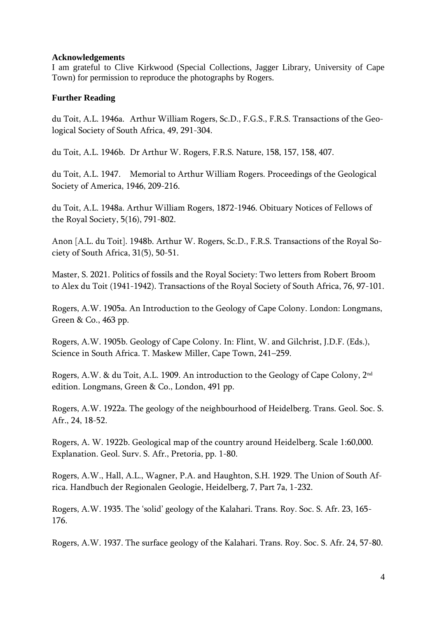## **Acknowledgements**

I am grateful to Clive Kirkwood (Special Collections, Jagger Library, University of Cape Town) for permission to reproduce the photographs by Rogers.

## **Further Reading**

du Toit, A.L. 1946a. Arthur William Rogers, Sc.D., F.G.S., F.R.S. Transactions of the Geological Society of South Africa, 49, 291-304.

du Toit, A.L. 1946b. Dr Arthur W. Rogers, F.R.S. Nature, 158, 157, 158, 407.

du Toit, A.L. 1947. Memorial to Arthur William Rogers. Proceedings of the Geological Society of America, 1946, 209-216.

du Toit, A.L. 1948a. Arthur William Rogers, 1872-1946. Obituary Notices of Fellows of the Royal Society, 5(16), 791-802.

Anon [A.L. du Toit]. 1948b. Arthur W. Rogers, Sc.D., F.R.S. Transactions of the Royal Society of South Africa, 31(5), 50-51.

Master, S. 2021. Politics of fossils and the Royal Society: Two letters from Robert Broom to Alex du Toit (1941-1942). Transactions of the Royal Society of South Africa, 76, 97-101.

Rogers, A.W. 1905a. An Introduction to the Geology of Cape Colony. London: Longmans, Green & Co., 463 pp.

Rogers, A.W. 1905b. Geology of Cape Colony. In: Flint, W. and Gilchrist, J.D.F. (Eds.), Science in South Africa. T. Maskew Miller, Cape Town, 241–259.

Rogers, A.W. & du Toit, A.L. 1909. An introduction to the Geology of Cape Colony, 2nd edition. Longmans, Green & Co., London, 491 pp.

Rogers, A.W. 1922a. The geology of the neighbourhood of Heidelberg. Trans. Geol. Soc. S. Afr., 24, 18-52.

Rogers, A. W. 1922b. Geological map of the country around Heidelberg. Scale 1:60,000. Explanation. Geol. Surv. S. Afr., Pretoria, pp. 1-80.

Rogers, A.W., Hall, A.L., Wagner, P.A. and Haughton, S.H. 1929. The Union of South Africa. Handbuch der Regionalen Geologie, Heidelberg, 7, Part 7a, 1-232.

Rogers, A.W. 1935. The 'solid' geology of the Kalahari. Trans. Roy. Soc. S. Afr. 23, 165- 176.

Rogers, A.W. 1937. The surface geology of the Kalahari. Trans. Roy. Soc. S. Afr. 24, 57-80.